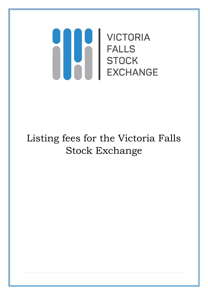# **VICTORIA** H **FALLS STOCK EXCHANGE**

# Listing fees for the Victoria Falls Stock Exchange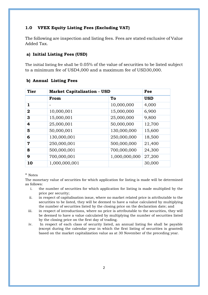### **1.0 VFEX Equity Listing Fees (Excluding VAT)**

The following are inspection and listing fees. Fees are stated exclusive of Value Added Tax.

#### **a) Initial Listing Fees (USD)**

The initial listing fee shall be 0.05% of the value of securities to be listed subject to a minimum fee of USD4,000 and a maximum fee of USD30,000.

#### **b) Annual Listing Fees**

| <b>Tier</b>  | <b>Market Capitalization - USD</b> |               | Fee        |
|--------------|------------------------------------|---------------|------------|
|              | From                               | To            | <b>USD</b> |
| 1            |                                    | 10,000,000    | 4,000      |
| $\mathbf{2}$ | 10,000,001                         | 15,000,000    | 6,900      |
| 3            | 15,000,001                         | 25,000,000    | 9,800      |
| 4            | 25,000,001                         | 50,000,000    | 12,700     |
| 5            | 50,000,001                         | 130,000,000   | 15,600     |
| 6            | 130,000,001                        | 250,000,000   | 18,500     |
| 7            | 250,000,001                        | 500,000,000   | 21,400     |
| 8            | 500,000,001                        | 700,000,000   | 24,300     |
| 9            | 700,000,001                        | 1,000,000,000 | 27,200     |
| 10           | 1,000,000,001                      |               | 30,000     |

#### \* Notes

The monetary value of securities for which application for listing is made will be determined as follows:

- i. the number of securities for which application for listing is made multiplied by the price per security;
- ii. in respect of capitalisation issue, where no market related price is attributable to the securities to be listed, they will be deemed to have a value calculated by multiplying the number of securities listed by the closing price on the declaration date; and
- iii. in respect of introductions, where no price is attributable to the securities, they will be deemed to have a value calculated by multiplying the number of securities listed by the closing price on the first day of trading.
- iv. In respect of each class of security listed, an annual listing fee shall be payable (except during the calendar year in which the first listing of securities is granted) based on the market capitalization value as at 30 November of the preceding year.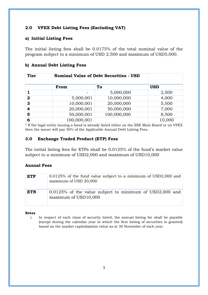### **2.0 VFEX Debt Listing Fees (Excluding VAT)**

#### **a) Initial Listing Fees**

The initial listing fees shall be 0.0175% of the total nominal value of the program subject to a minimum of USD 2,500 and maximum of USD5,000.

#### **b) Annual Debt Listing Fees**

| <b>Tier</b>    | <b>Nominal Value of Debt Securities - USD</b> |             |            |
|----------------|-----------------------------------------------|-------------|------------|
|                | From                                          | To          | <b>USD</b> |
|                |                                               | 5,000,000   | 2,500      |
| $\overline{2}$ | 5,000,001                                     | 10,000,000  | 4,000      |
| 3              | 10,000,001                                    | 20,000,000  | 5,500      |
| 4              | 20,000,001                                    | 50,000,000  | 7,000      |
| 5              | 50,000,001                                    | 100,000,000 | 8,500      |
| 6              | 100,000,001                                   |             | 10,000     |

\* If the legal entity issuing a bond is already listed either on the ZSE Main Board or on VFEX then the issuer will pay 50% of the Applicable Annual Debt Listing Fees.

#### **3.0 Exchange Traded Product (ETP) Fees**

The initial listing fees for ETPs shall be 0.0125% of the fund's market value subject to a minimum of USD2,000 and maximum of USD10,000

#### **Annual Fees**

| <b>ETF</b> | 0.0125% of the fund value subject to a minimum of USD2,000 and<br>maximum of USD 20,000 |
|------------|-----------------------------------------------------------------------------------------|
| <b>ETN</b> | 0.0125% of the value subject to minimum of USD2,000 and<br>maximum of USD10,000         |

#### **Notes**

i. In respect of each class of security listed, the annual listing fee shall be payable (except during the calendar year in which the first listing of securities is granted) based on the market capitalization value as at 30 November of each year.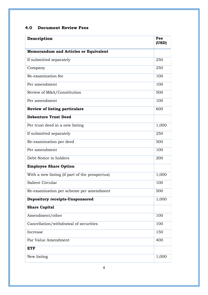## **4.0 Document Review Fees**

| Description                                    | Fee<br>(USD) |
|------------------------------------------------|--------------|
| <b>Memorandum and Articles or Equivalent</b>   |              |
| If submitted separately                        | 250          |
| Company                                        | 250          |
| Re-examination fee                             | 100          |
| Per amendment                                  | 100          |
| Review of M&A/Constitution                     | 500          |
| Per amendment                                  | 100          |
| <b>Review of listing particulars</b>           | 600          |
| <b>Debenture Trust Deed</b>                    |              |
| Per trust deed in a new listing                | 1,000        |
| If submitted separately                        | 250          |
| Re-examination per deed                        | 500          |
| Per amendment                                  | 100          |
| Debt-Notice to holders                         | 200          |
| <b>Employee Share Option</b>                   |              |
| With a new listing (if part of the prospectus) | 1,000        |
| Salient Circular                               | 100          |
| Re-examination per scheme per amendment        | 500          |
| Depository receipts-Unsponsored                | 1,000        |
| <b>Share Capital</b>                           |              |
| Amendment/other                                | 100          |
| Cancellation/withdrawal of securities          | 100          |
| Increase                                       | 150          |
| Par Value Amendment                            | 400          |
| <b>ETF</b>                                     |              |
| New listing                                    | 1,000        |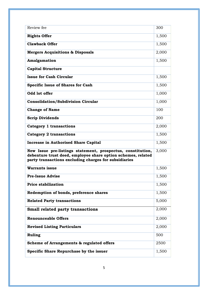| Review fee                                                                                                                                                                           | 300   |
|--------------------------------------------------------------------------------------------------------------------------------------------------------------------------------------|-------|
| <b>Rights Offer</b>                                                                                                                                                                  | 1,500 |
| <b>Clawback Offer</b>                                                                                                                                                                | 1,500 |
| <b>Mergers Acquisitions &amp; Disposals</b>                                                                                                                                          | 2,000 |
| Amalgamation                                                                                                                                                                         | 1,500 |
| <b>Capital Structure</b>                                                                                                                                                             |       |
| <b>Issue for Cash Circular</b>                                                                                                                                                       | 1,500 |
| <b>Specific Issue of Shares for Cash</b>                                                                                                                                             | 1,500 |
| Odd lot offer                                                                                                                                                                        | 1,000 |
| <b>Consolidation/Subdivision Circular</b>                                                                                                                                            | 1,000 |
| <b>Change of Name</b>                                                                                                                                                                | 100   |
| <b>Scrip Dividends</b>                                                                                                                                                               | 200   |
| <b>Category 1 transactions</b>                                                                                                                                                       | 2,000 |
| <b>Category 2 transactions</b>                                                                                                                                                       | 1,500 |
| <b>Increase in Authorised Share Capital</b>                                                                                                                                          | 1,500 |
| New Issue pre-listings statement, prospectus, constitution,<br>debenture trust deed, employee share option schemes, related<br>party transactions excluding charges for subsidiaries | 3,000 |
| <b>Warrants issue</b>                                                                                                                                                                | 1,500 |
| <b>Pre-Issue Advise</b>                                                                                                                                                              | 1,500 |
| <b>Price stabilization</b>                                                                                                                                                           | 1,500 |
| Redemption of bonds, preference shares                                                                                                                                               | 1,500 |
| <b>Related Party transactions</b>                                                                                                                                                    | 5,000 |
| <b>Small related party transactions</b>                                                                                                                                              | 2,000 |
| <b>Renounceable Offers</b>                                                                                                                                                           | 2,000 |
| <b>Revised Listing Particulars</b>                                                                                                                                                   | 2,000 |
| <b>Ruling</b>                                                                                                                                                                        | 500   |
| Scheme of Arrangements & regulated offers                                                                                                                                            | 2500  |
| Specific Share Repurchase by the issuer                                                                                                                                              | 1,500 |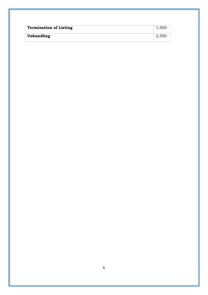| <b>Termination of Listing</b> | 1,500 |
|-------------------------------|-------|
| Unbundling                    | 2,500 |